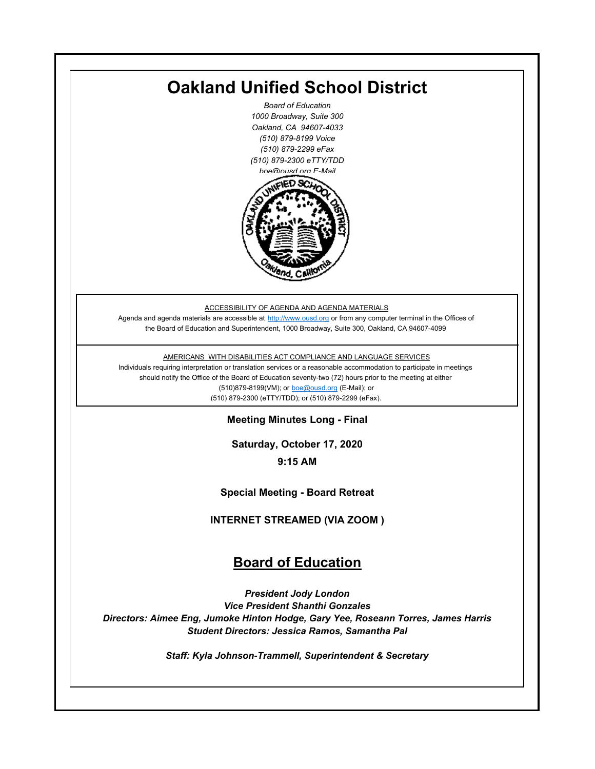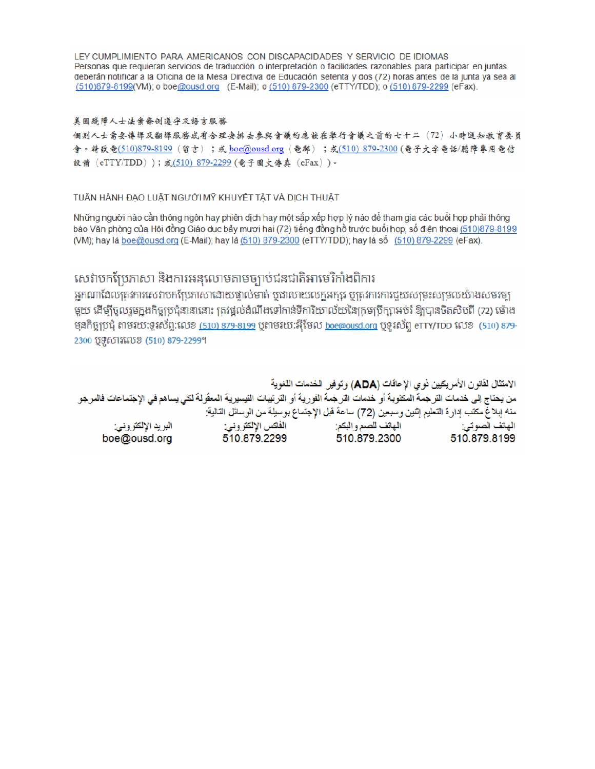LEY CUMPLIMIENTO PARA AMERICANOS CON DISCAPACIDADES Y SERVICIO DE IDIOMAS Personas que requieran servicios de traducción o interpretación o facilidades razonables para participar en juntas deberán notificar a la Oficina de la Mesa Directiva de Educación setenta y dos (72) horas antes de la junta ya sea al (510)879-8199(VM); o boe@ousd.org (E-Mail); o (510) 879-2300 (eTTY/TDD); o (510) 879-2299 (eFax).

#### 美国残障人士法案條例遵守及語言服務

個别人士需要傳譯及翻譯服務或有合理安排去參與會議的應該在舉行會議之前的七十二 (72) 小時通知教育委員 會。請致電(510)879-8199(留言);或 boe@ousd.org (電郵) ;或(510) 879-2300 (電子文字電話/聽障專用電信 設備 (eTTY/TDD));或(510)879-2299(電子圖文傳真 (eFax))。

#### TUÂN HÀNH ĐẠO LUẬT NGƯỜI MỸ KHUYẾT TẤT VÀ DỊCH THUẬT

Những người nào cần thông ngôn hay phiên dịch hay một sắp xếp hợp lý nào để tham gia các buổi họp phải thông báo Văn phòng của Hội đồng Giáo dục bảy mươi hai (72) tiếng đồng hồ trước buổi họp, số điện thoại (510)879-8199 (VM); hay là boe@ousd.org (E-Mail); hay là (510) 879-2300 (eTTY/TDD); hay là số (510) 879-2299 (eFax).

## សេវាបកប្រែភាសា និងការអនុលោមតាមច្បាប់ជនជាតិអាមេរិកាំងពិការ

អកណាដែលតេវការសេវាបកប្រែភាសាដោយផ្ទាល់មាត់ ឬជាលាយលក្ខអក្សរ ឬត្រូវការការជួយសម្រះសម្រលយ៉ាងសមរម្យ មយ ដើម្បីចលរមកងកិច្ចប្រជុំនានានោះ ត្រូវផ្តល់ដំណឹងទៅកាន់ទីការិយាល័យនៃក្រមប្រឹក្សាអប់រំ ឱ្យបានចិតសិបពី (72) ម៉ោង ម្មនកិច្ចប្រជុំ តាមរយៈទូរស័ព្ទ:លេខ (<u>510) 879-8199</u> បុតាមរយៈអ៊ីមែល <u>boe@ousd.org</u> បុទ្**រ**ស័ព្ទ eTTY/TDD លេខ (510) 879-2300 ប៊ូទ្មិសារលេខ (510) 879-2299។

الامتثال لقانون الأمريكيين نو ي الإعاقات (ADA) وتوفير الخدمات اللغوية من يحتاج إلى خدمات التر جمة المكتوبة أو خدمات التر جمة الفورية أو الترتيبات التيسيرية المعفّولة لكي يساهم في الإجتماعات فالمرجو منه إبلاغ مكتب إدارة التعليم إثنين وسبعين (72) ساعة قبل الإجتماع بوسيلة من الوسائل التالية: البريد الإلكتروني: 510.879.2299 boe@ousd.org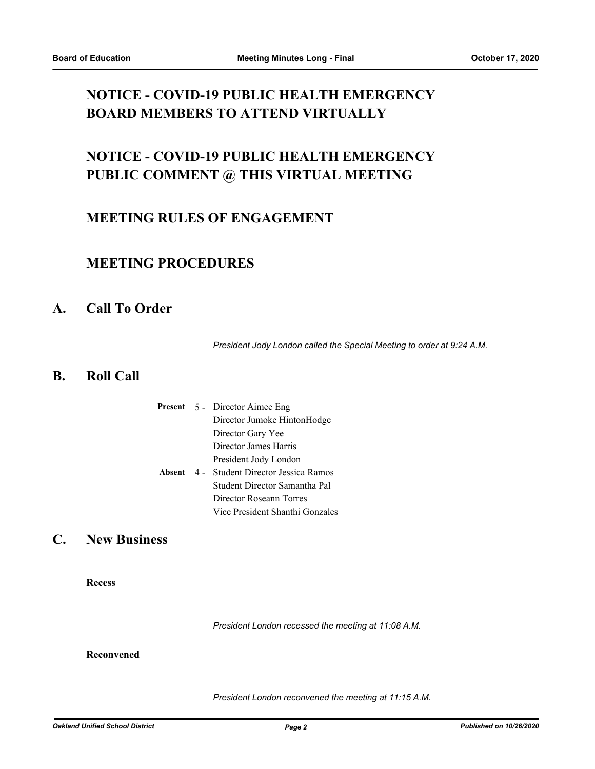## **NOTICE - COVID-19 PUBLIC HEALTH EMERGENCY BOARD MEMBERS TO ATTEND VIRTUALLY**

# **NOTICE - COVID-19 PUBLIC HEALTH EMERGENCY PUBLIC COMMENT @ THIS VIRTUAL MEETING**

## **MEETING RULES OF ENGAGEMENT**

### **MEETING PROCEDURES**

### **A. Call To Order**

*President Jody London called the Special Meeting to order at 9:24 A.M.*

### **B. Roll Call**

|  | <b>Present</b> 5 - Director Aimee Eng            |
|--|--------------------------------------------------|
|  | Director Jumoke HintonHodge                      |
|  | Director Gary Yee                                |
|  | Director James Harris                            |
|  | President Jody London                            |
|  | <b>Absent</b> 4 - Student Director Jessica Ramos |
|  | Student Director Samantha Pal                    |
|  | Director Roseann Torres                          |
|  | Vice President Shanthi Gonzales                  |

### **C. New Business**

**Recess**

*President London recessed the meeting at 11:08 A.M.*

#### **Reconvened**

*President London reconvened the meeting at 11:15 A.M.*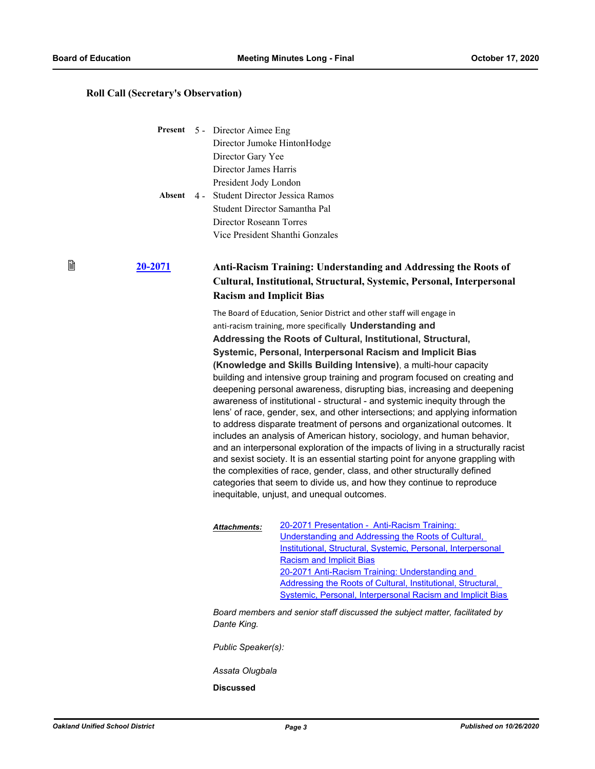窅

#### **Roll Call (Secretary's Observation)**

|              | <b>Present</b> 5 - Director Aimee Eng |
|--------------|---------------------------------------|
|              | Director Jumoke HintonHodge           |
|              | Director Gary Yee                     |
|              | Director James Harris                 |
|              | President Jody London                 |
| Absent $4 -$ | <b>Student Director Jessica Ramos</b> |
|              | Student Director Samantha Pal         |
|              | Director Roseann Torres               |
|              | Vice President Shanthi Gonzales       |

### **[20-2071](http://ousd.legistar.com/gateway.aspx?m=l&id=/matter.aspx?key=50653) Anti-Racism Training: Understanding and Addressing the Roots of Cultural, Institutional, Structural, Systemic, Personal, Interpersonal Racism and Implicit Bias**

The Board of Education, Senior District and other staff will engage in anti-racism training, more specifically **Understanding and Addressing the Roots of Cultural, Institutional, Structural, Systemic, Personal, Interpersonal Racism and Implicit Bias (Knowledge and Skills Building Intensive)**, a multi-hour capacity building and intensive group training and program focused on creating and deepening personal awareness, disrupting bias, increasing and deepening awareness of institutional - structural - and systemic inequity through the lens' of race, gender, sex, and other intersections; and applying information to address disparate treatment of persons and organizational outcomes. It includes an analysis of American history, sociology, and human behavior, and an interpersonal exploration of the impacts of living in a structurally racist and sexist society. It is an essential starting point for anyone grappling with the complexities of race, gender, class, and other structurally defined categories that seem to divide us, and how they continue to reproduce inequitable, unjust, and unequal outcomes.

| Attachments: | 20-2071 Presentation - Anti-Racism Training:                 |
|--------------|--------------------------------------------------------------|
|              | Understanding and Addressing the Roots of Cultural,          |
|              | Institutional, Structural, Systemic, Personal, Interpersonal |
|              | <b>Racism and Implicit Bias</b>                              |
|              | 20-2071 Anti-Racism Training: Understanding and              |
|              | Addressing the Roots of Cultural, Institutional, Structural, |
|              | Systemic, Personal, Interpersonal Racism and Implicit Bias   |
|              |                                                              |

*Board members and senior staff discussed the subject matter, facilitated by Dante King.*

*Public Speaker(s):*

*Assata Olugbala*

**Discussed**